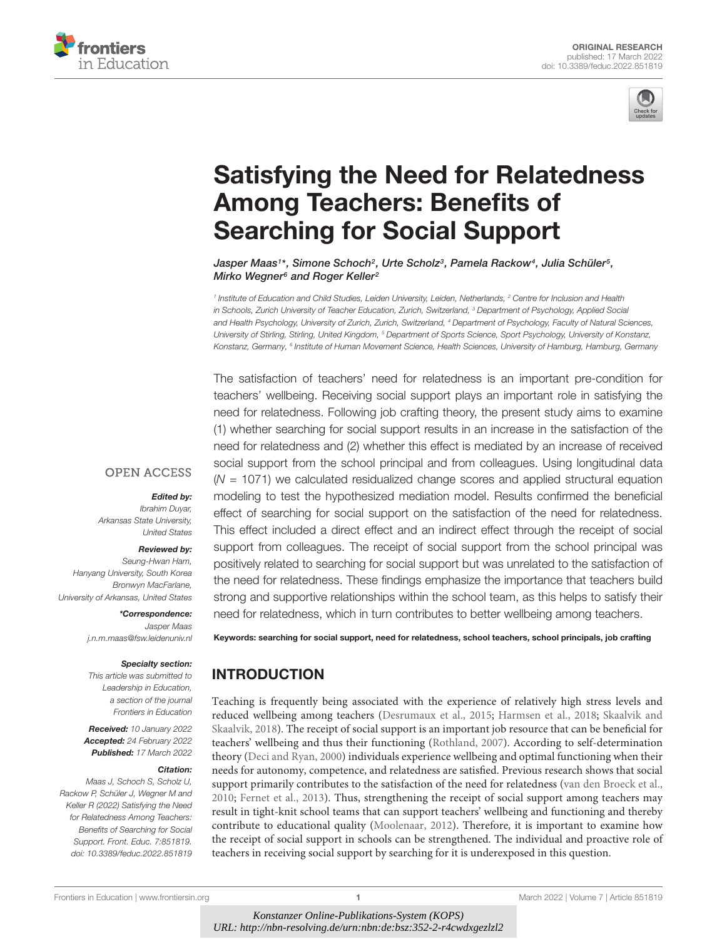



# [Satisfying the Need for Relatedness](https://www.frontiersin.org/articles/10.3389/feduc.2022.851819/full) Among Teachers: Benefits of Searching for Social Support

Jasper Maas1\*, Simone Schoch<sup>2</sup>, Urte Scholz<sup>3</sup>, Pamela Rackow<sup>4</sup>, Julia Schüler<sup>5</sup>, Mirko Wegner<sup>6</sup> and Roger Keller<sup>2</sup>

<sup>1</sup> Institute of Education and Child Studies, Leiden University, Leiden, Netherlands, <sup>2</sup> Centre for Inclusion and Health in Schools, Zurich University of Teacher Education, Zurich, Switzerland, <sup>3</sup> Department of Psychology, Applied Social and Health Psychology, University of Zurich, Zurich, Switzerland, <sup>4</sup> Department of Psychology, Faculty of Natural Sciences, University of Stirling, Stirling, United Kingdom, <sup>5</sup> Department of Sports Science, Sport Psychology, University of Konstanz, Konstanz, Germany, <sup>6</sup> Institute of Human Movement Science, Health Sciences, University of Hamburg, Hamburg, Germany

The satisfaction of teachers' need for relatedness is an important pre-condition for teachers' wellbeing. Receiving social support plays an important role in satisfying the need for relatedness. Following job crafting theory, the present study aims to examine (1) whether searching for social support results in an increase in the satisfaction of the need for relatedness and (2) whether this effect is mediated by an increase of received social support from the school principal and from colleagues. Using longitudinal data  $(N = 1071)$  we calculated residualized change scores and applied structural equation modeling to test the hypothesized mediation model. Results confirmed the beneficial effect of searching for social support on the satisfaction of the need for relatedness. This effect included a direct effect and an indirect effect through the receipt of social support from colleagues. The receipt of social support from the school principal was positively related to searching for social support but was unrelated to the satisfaction of the need for relatedness. These findings emphasize the importance that teachers build strong and supportive relationships within the school team, as this helps to satisfy their need for relatedness, which in turn contributes to better wellbeing among teachers.

**OPEN ACCESS** 

#### Edited by:

Ibrahim Duyar, Arkansas State University, United States

#### Reviewed by:

Seung-Hwan Ham, Hanyang University, South Korea Bronwyn MacFarlane, University of Arkansas, United States

> \*Correspondence: Jasper Maas j.n.m.maas@fsw.leidenuniv.nl

#### Specialty section:

This article was submitted to Leadership in Education, a section of the journal Frontiers in Education

Received: 10 January 2022 Accepted: 24 February 2022 Published: 17 March 2022

#### Citation:

Maas J, Schoch S, Scholz U, Rackow P, Schüler J, Wegner M and Keller R (2022) Satisfying the Need for Relatedness Among Teachers: Benefits of Searching for Social Support. Front. Educ. 7:851819. doi: [10.3389/feduc.2022.851819](https://doi.org/10.3389/feduc.2022.851819) Keywords: searching for social support, need for relatedness, school teachers, school principals, job crafting

# INTRODUCTION

Teaching is frequently being associated with the experience of relatively high stress levels and reduced wellbeing among teachers [\(Desrumaux et al.,](#page-7-0) [2015;](#page-7-0) [Harmsen et al.,](#page-8-0) [2018;](#page-8-0) [Skaalvik and](#page-8-1) [Skaalvik,](#page-8-1) [2018\)](#page-8-1). The receipt of social support is an important job resource that can be beneficial for teachers' wellbeing and thus their functioning [\(Rothland,](#page-8-2) [2007\)](#page-8-2). According to self-determination theory [\(Deci and Ryan,](#page-7-1) [2000\)](#page-7-1) individuals experience wellbeing and optimal functioning when their needs for autonomy, competence, and relatedness are satisfied. Previous research shows that social support primarily contributes to the satisfaction of the need for relatedness [\(van den Broeck et al.,](#page-8-3) [2010;](#page-8-3) [Fernet et al.,](#page-7-2) [2013\)](#page-7-2). Thus, strengthening the receipt of social support among teachers may result in tight-knit school teams that can support teachers' wellbeing and functioning and thereby contribute to educational quality [\(Moolenaar,](#page-8-4) [2012\)](#page-8-4). Therefore, it is important to examine how the receipt of social support in schools can be strengthened. The individual and proactive role of teachers in receiving social support by searching for it is underexposed in this question.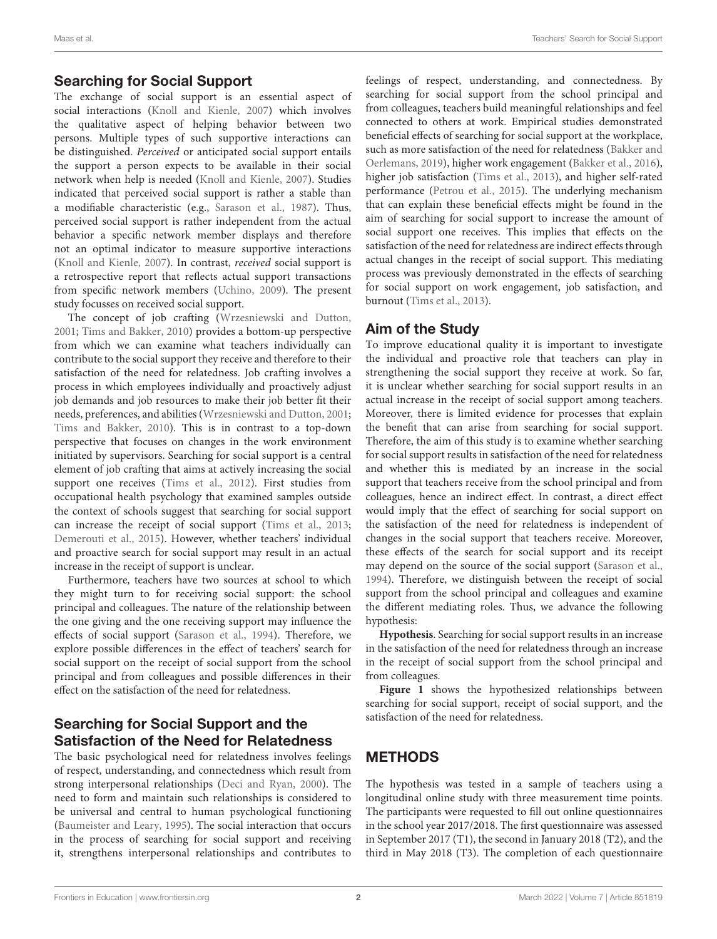# Searching for Social Support

The exchange of social support is an essential aspect of social interactions [\(Knoll and Kienle,](#page-8-5) [2007\)](#page-8-5) which involves the qualitative aspect of helping behavior between two persons. Multiple types of such supportive interactions can be distinguished. Perceived or anticipated social support entails the support a person expects to be available in their social network when help is needed [\(Knoll and Kienle,](#page-8-5) [2007\)](#page-8-5). Studies indicated that perceived social support is rather a stable than a modifiable characteristic (e.g., [Sarason et al.,](#page-8-6) [1987\)](#page-8-6). Thus, perceived social support is rather independent from the actual behavior a specific network member displays and therefore not an optimal indicator to measure supportive interactions [\(Knoll and Kienle,](#page-8-5) [2007\)](#page-8-5). In contrast, received social support is a retrospective report that reflects actual support transactions from specific network members [\(Uchino,](#page-8-7) [2009\)](#page-8-7). The present study focusses on received social support.

The concept of job crafting [\(Wrzesniewski and Dutton,](#page-8-8) [2001;](#page-8-8) [Tims and Bakker,](#page-8-9) [2010\)](#page-8-9) provides a bottom-up perspective from which we can examine what teachers individually can contribute to the social support they receive and therefore to their satisfaction of the need for relatedness. Job crafting involves a process in which employees individually and proactively adjust job demands and job resources to make their job better fit their needs, preferences, and abilities [\(Wrzesniewski and Dutton,](#page-8-8) [2001;](#page-8-8) [Tims and Bakker,](#page-8-9) [2010\)](#page-8-9). This is in contrast to a top-down perspective that focuses on changes in the work environment initiated by supervisors. Searching for social support is a central element of job crafting that aims at actively increasing the social support one receives [\(Tims et al.,](#page-8-10) [2012\)](#page-8-10). First studies from occupational health psychology that examined samples outside the context of schools suggest that searching for social support can increase the receipt of social support [\(Tims et al.,](#page-8-11) [2013;](#page-8-11) [Demerouti et al.,](#page-7-3) [2015\)](#page-7-3). However, whether teachers' individual and proactive search for social support may result in an actual increase in the receipt of support is unclear.

Furthermore, teachers have two sources at school to which they might turn to for receiving social support: the school principal and colleagues. The nature of the relationship between the one giving and the one receiving support may influence the effects of social support [\(Sarason et al.,](#page-8-12) [1994\)](#page-8-12). Therefore, we explore possible differences in the effect of teachers' search for social support on the receipt of social support from the school principal and from colleagues and possible differences in their effect on the satisfaction of the need for relatedness.

# Searching for Social Support and the Satisfaction of the Need for Relatedness

The basic psychological need for relatedness involves feelings of respect, understanding, and connectedness which result from strong interpersonal relationships [\(Deci and Ryan,](#page-7-1) [2000\)](#page-7-1). The need to form and maintain such relationships is considered to be universal and central to human psychological functioning [\(Baumeister and Leary,](#page-7-4) [1995\)](#page-7-4). The social interaction that occurs in the process of searching for social support and receiving it, strengthens interpersonal relationships and contributes to

feelings of respect, understanding, and connectedness. By searching for social support from the school principal and from colleagues, teachers build meaningful relationships and feel connected to others at work. Empirical studies demonstrated beneficial effects of searching for social support at the workplace, such as more satisfaction of the need for relatedness [\(Bakker and](#page-7-5) [Oerlemans,](#page-7-5) [2019\)](#page-7-5), higher work engagement [\(Bakker et al.,](#page-7-6) [2016\)](#page-7-6), higher job satisfaction [\(Tims et al.,](#page-8-11) [2013\)](#page-8-11), and higher self-rated performance [\(Petrou et al.,](#page-8-13) [2015\)](#page-8-13). The underlying mechanism that can explain these beneficial effects might be found in the aim of searching for social support to increase the amount of social support one receives. This implies that effects on the satisfaction of the need for relatedness are indirect effects through actual changes in the receipt of social support. This mediating process was previously demonstrated in the effects of searching for social support on work engagement, job satisfaction, and burnout [\(Tims et al.,](#page-8-11) [2013\)](#page-8-11).

#### Aim of the Study

To improve educational quality it is important to investigate the individual and proactive role that teachers can play in strengthening the social support they receive at work. So far, it is unclear whether searching for social support results in an actual increase in the receipt of social support among teachers. Moreover, there is limited evidence for processes that explain the benefit that can arise from searching for social support. Therefore, the aim of this study is to examine whether searching for social support results in satisfaction of the need for relatedness and whether this is mediated by an increase in the social support that teachers receive from the school principal and from colleagues, hence an indirect effect. In contrast, a direct effect would imply that the effect of searching for social support on the satisfaction of the need for relatedness is independent of changes in the social support that teachers receive. Moreover, these effects of the search for social support and its receipt may depend on the source of the social support [\(Sarason et al.,](#page-8-12) [1994\)](#page-8-12). Therefore, we distinguish between the receipt of social support from the school principal and colleagues and examine the different mediating roles. Thus, we advance the following hypothesis:

**Hypothesis**. Searching for social support results in an increase in the satisfaction of the need for relatedness through an increase in the receipt of social support from the school principal and from colleagues.

**[Figure 1](#page-2-0)** shows the hypothesized relationships between searching for social support, receipt of social support, and the satisfaction of the need for relatedness.

# **METHODS**

The hypothesis was tested in a sample of teachers using a longitudinal online study with three measurement time points. The participants were requested to fill out online questionnaires in the school year 2017/2018. The first questionnaire was assessed in September 2017 (T1), the second in January 2018 (T2), and the third in May 2018 (T3). The completion of each questionnaire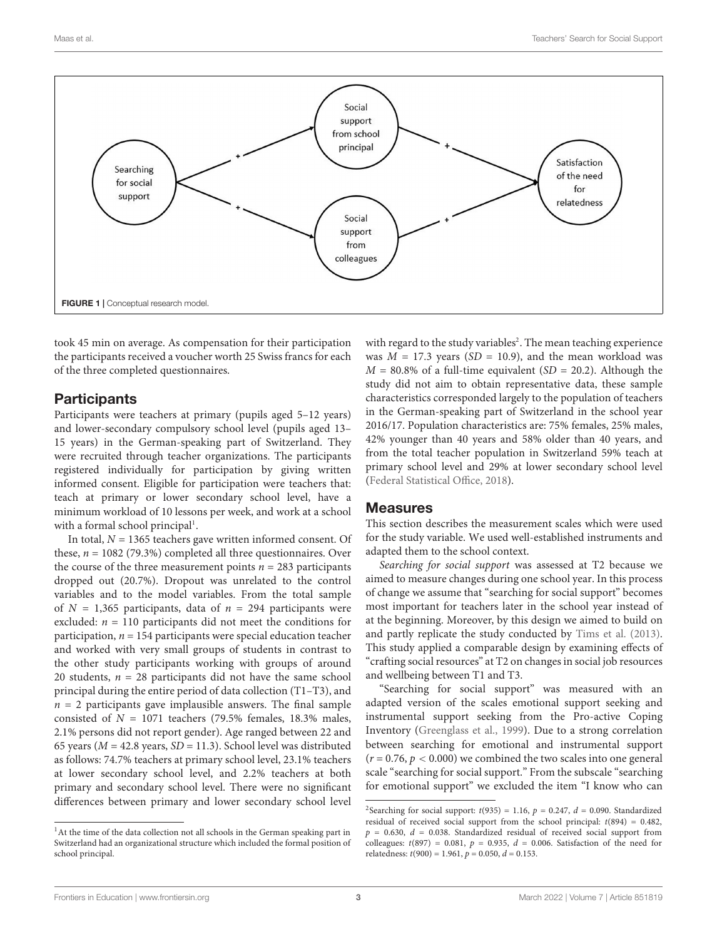

<span id="page-2-0"></span>took 45 min on average. As compensation for their participation the participants received a voucher worth 25 Swiss francs for each of the three completed questionnaires.

#### **Participants**

Participants were teachers at primary (pupils aged 5–12 years) and lower-secondary compulsory school level (pupils aged 13– 15 years) in the German-speaking part of Switzerland. They were recruited through teacher organizations. The participants registered individually for participation by giving written informed consent. Eligible for participation were teachers that: teach at primary or lower secondary school level, have a minimum workload of 10 lessons per week, and work at a school with a formal school principal<sup>[1](#page-2-1)</sup>.

In total,  $N = 1365$  teachers gave written informed consent. Of these,  $n = 1082$  (79.3%) completed all three questionnaires. Over the course of the three measurement points  $n = 283$  participants dropped out (20.7%). Dropout was unrelated to the control variables and to the model variables. From the total sample of  $N = 1,365$  participants, data of  $n = 294$  participants were excluded:  $n = 110$  participants did not meet the conditions for participation,  $n = 154$  participants were special education teacher and worked with very small groups of students in contrast to the other study participants working with groups of around 20 students,  $n = 28$  participants did not have the same school principal during the entire period of data collection (T1–T3), and  $n = 2$  participants gave implausible answers. The final sample consisted of  $N = 1071$  teachers (79.5% females, 18.3% males, 2.1% persons did not report gender). Age ranged between 22 and 65 years ( $M = 42.8$  years,  $SD = 11.3$ ). School level was distributed as follows: 74.7% teachers at primary school level, 23.1% teachers at lower secondary school level, and 2.2% teachers at both primary and secondary school level. There were no significant differences between primary and lower secondary school level

with regard to the study variables<sup>[2](#page-2-2)</sup>. The mean teaching experience was  $M = 17.3$  years (SD = 10.9), and the mean workload was  $M = 80.8\%$  of a full-time equivalent (SD = 20.2). Although the study did not aim to obtain representative data, these sample characteristics corresponded largely to the population of teachers in the German-speaking part of Switzerland in the school year 2016/17. Population characteristics are: 75% females, 25% males, 42% younger than 40 years and 58% older than 40 years, and from the total teacher population in Switzerland 59% teach at primary school level and 29% at lower secondary school level [\(Federal Statistical Office,](#page-7-7) [2018\)](#page-7-7).

#### **Measures**

This section describes the measurement scales which were used for the study variable. We used well-established instruments and adapted them to the school context.

Searching for social support was assessed at T2 because we aimed to measure changes during one school year. In this process of change we assume that "searching for social support" becomes most important for teachers later in the school year instead of at the beginning. Moreover, by this design we aimed to build on and partly replicate the study conducted by [Tims et al.](#page-8-11) [\(2013\)](#page-8-11). This study applied a comparable design by examining effects of "crafting social resources" at T2 on changes in social job resources and wellbeing between T1 and T3.

"Searching for social support" was measured with an adapted version of the scales emotional support seeking and instrumental support seeking from the Pro-active Coping Inventory [\(Greenglass et al.,](#page-7-8) [1999\)](#page-7-8). Due to a strong correlation between searching for emotional and instrumental support  $(r = 0.76, p < 0.000)$  we combined the two scales into one general scale "searching for social support." From the subscale "searching for emotional support" we excluded the item "I know who can

<span id="page-2-1"></span><sup>&</sup>lt;sup>1</sup>At the time of the data collection not all schools in the German speaking part in Switzerland had an organizational structure which included the formal position of school principal.

<span id="page-2-2"></span><sup>&</sup>lt;sup>2</sup>Searching for social support:  $t(935) = 1.16$ ,  $p = 0.247$ ,  $d = 0.090$ . Standardized residual of received social support from the school principal: t(894) = 0.482,  $p = 0.630$ ,  $d = 0.038$ . Standardized residual of received social support from colleagues:  $t(897) = 0.081$ ,  $p = 0.935$ ,  $d = 0.006$ . Satisfaction of the need for relatedness:  $t(900) = 1.961$ ,  $p = 0.050$ ,  $d = 0.153$ .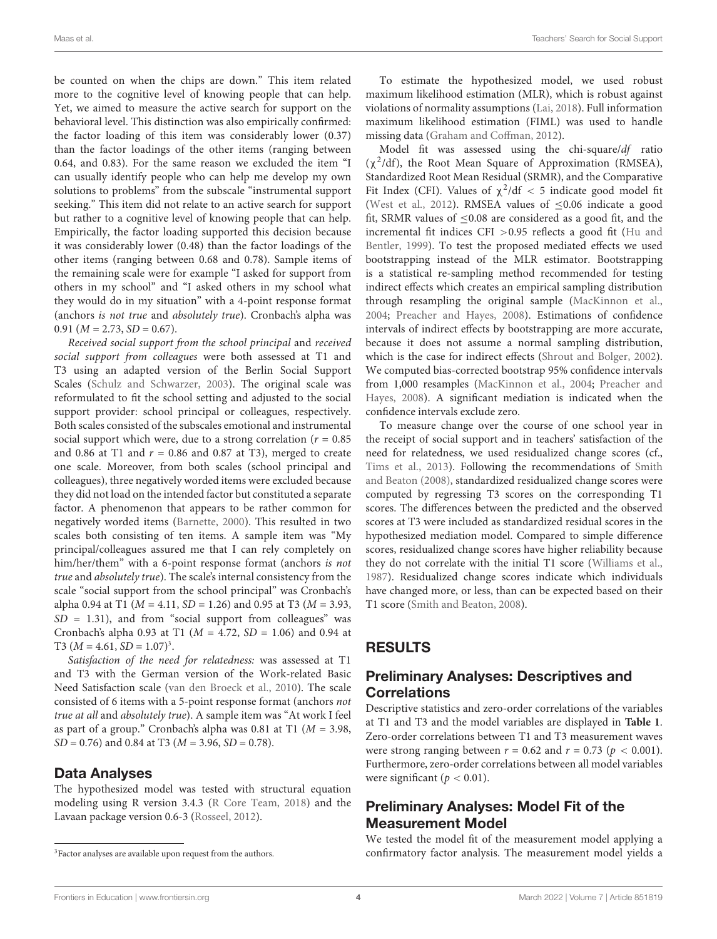be counted on when the chips are down." This item related more to the cognitive level of knowing people that can help. Yet, we aimed to measure the active search for support on the behavioral level. This distinction was also empirically confirmed: the factor loading of this item was considerably lower (0.37) than the factor loadings of the other items (ranging between 0.64, and 0.83). For the same reason we excluded the item "I can usually identify people who can help me develop my own solutions to problems" from the subscale "instrumental support seeking." This item did not relate to an active search for support but rather to a cognitive level of knowing people that can help. Empirically, the factor loading supported this decision because it was considerably lower (0.48) than the factor loadings of the other items (ranging between 0.68 and 0.78). Sample items of the remaining scale were for example "I asked for support from others in my school" and "I asked others in my school what they would do in my situation" with a 4-point response format (anchors is not true and absolutely true). Cronbach's alpha was  $0.91$  ( $M = 2.73$ ,  $SD = 0.67$ ).

Received social support from the school principal and received social support from colleagues were both assessed at T1 and T3 using an adapted version of the Berlin Social Support Scales [\(Schulz and Schwarzer,](#page-8-14) [2003\)](#page-8-14). The original scale was reformulated to fit the school setting and adjusted to the social support provider: school principal or colleagues, respectively. Both scales consisted of the subscales emotional and instrumental social support which were, due to a strong correlation ( $r = 0.85$ ) and 0.86 at T1 and  $r = 0.86$  and 0.87 at T3), merged to create one scale. Moreover, from both scales (school principal and colleagues), three negatively worded items were excluded because they did not load on the intended factor but constituted a separate factor. A phenomenon that appears to be rather common for negatively worded items [\(Barnette,](#page-7-9) [2000\)](#page-7-9). This resulted in two scales both consisting of ten items. A sample item was "My principal/colleagues assured me that I can rely completely on him/her/them" with a 6-point response format (anchors is not true and absolutely true). The scale's internal consistency from the scale "social support from the school principal" was Cronbach's alpha 0.94 at T1 ( $M = 4.11$ ,  $SD = 1.26$ ) and 0.95 at T3 ( $M = 3.93$ ,  $SD = 1.31$ ), and from "social support from colleagues" was Cronbach's alpha 0.93 at T1 ( $M = 4.72$ ,  $SD = 1.06$ ) and 0.94 at T[3](#page-3-0) ( $M = 4.61$ ,  $SD = 1.07$ )<sup>3</sup>.

Satisfaction of the need for relatedness: was assessed at T1 and T3 with the German version of the Work-related Basic Need Satisfaction scale [\(van den Broeck et al.,](#page-8-3) [2010\)](#page-8-3). The scale consisted of 6 items with a 5-point response format (anchors not true at all and absolutely true). A sample item was "At work I feel as part of a group." Cronbach's alpha was 0.81 at T1 ( $M = 3.98$ ,  $SD = 0.76$ ) and 0.84 at T3 ( $M = 3.96$ ,  $SD = 0.78$ ).

#### Data Analyses

The hypothesized model was tested with structural equation modeling using R version 3.4.3 [\(R Core Team,](#page-8-15) [2018\)](#page-8-15) and the Lavaan package version 0.6-3 [\(Rosseel,](#page-8-16) [2012\)](#page-8-16).

To estimate the hypothesized model, we used robust maximum likelihood estimation (MLR), which is robust against violations of normality assumptions [\(Lai,](#page-8-17) [2018\)](#page-8-17). Full information maximum likelihood estimation (FIML) was used to handle missing data [\(Graham and Coffman,](#page-7-10) [2012\)](#page-7-10).

Model fit was assessed using the chi-square/df ratio (χ 2 /df), the Root Mean Square of Approximation (RMSEA), Standardized Root Mean Residual (SRMR), and the Comparative Fit Index (CFI). Values of  $\chi^2$ /df < 5 indicate good model fit [\(West et al.,](#page-8-18) [2012\)](#page-8-18). RMSEA values of  $\leq 0.06$  indicate a good fit, SRMR values of <0.08 are considered as a good fit, and the incremental fit indices CFI  $>0.95$  reflects a good fit [\(Hu and](#page-8-19) [Bentler,](#page-8-19) [1999\)](#page-8-19). To test the proposed mediated effects we used bootstrapping instead of the MLR estimator. Bootstrapping is a statistical re-sampling method recommended for testing indirect effects which creates an empirical sampling distribution through resampling the original sample [\(MacKinnon et al.,](#page-8-20) [2004;](#page-8-20) [Preacher and Hayes,](#page-8-21) [2008\)](#page-8-21). Estimations of confidence intervals of indirect effects by bootstrapping are more accurate, because it does not assume a normal sampling distribution, which is the case for indirect effects [\(Shrout and Bolger,](#page-8-22) [2002\)](#page-8-22). We computed bias-corrected bootstrap 95% confidence intervals from 1,000 resamples [\(MacKinnon et al.,](#page-8-20) [2004;](#page-8-20) [Preacher and](#page-8-21) [Hayes,](#page-8-21) [2008\)](#page-8-21). A significant mediation is indicated when the confidence intervals exclude zero.

To measure change over the course of one school year in the receipt of social support and in teachers' satisfaction of the need for relatedness, we used residualized change scores (cf., [Tims et al.,](#page-8-11) [2013\)](#page-8-11). Following the recommendations of [Smith](#page-8-23) [and Beaton](#page-8-23) [\(2008\)](#page-8-23), standardized residualized change scores were computed by regressing T3 scores on the corresponding T1 scores. The differences between the predicted and the observed scores at T3 were included as standardized residual scores in the hypothesized mediation model. Compared to simple difference scores, residualized change scores have higher reliability because they do not correlate with the initial T1 score [\(Williams et al.,](#page-8-24) [1987\)](#page-8-24). Residualized change scores indicate which individuals have changed more, or less, than can be expected based on their T1 score [\(Smith and Beaton,](#page-8-23) [2008\)](#page-8-23).

# RESULTS

# Preliminary Analyses: Descriptives and **Correlations**

Descriptive statistics and zero-order correlations of the variables at T1 and T3 and the model variables are displayed in **[Table 1](#page-4-0)**. Zero-order correlations between T1 and T3 measurement waves were strong ranging between  $r = 0.62$  and  $r = 0.73$  ( $p < 0.001$ ). Furthermore, zero-order correlations between all model variables were significant ( $p < 0.01$ ).

# Preliminary Analyses: Model Fit of the Measurement Model

We tested the model fit of the measurement model applying a confirmatory factor analysis. The measurement model yields a

<span id="page-3-0"></span><sup>&</sup>lt;sup>3</sup>Factor analyses are available upon request from the authors.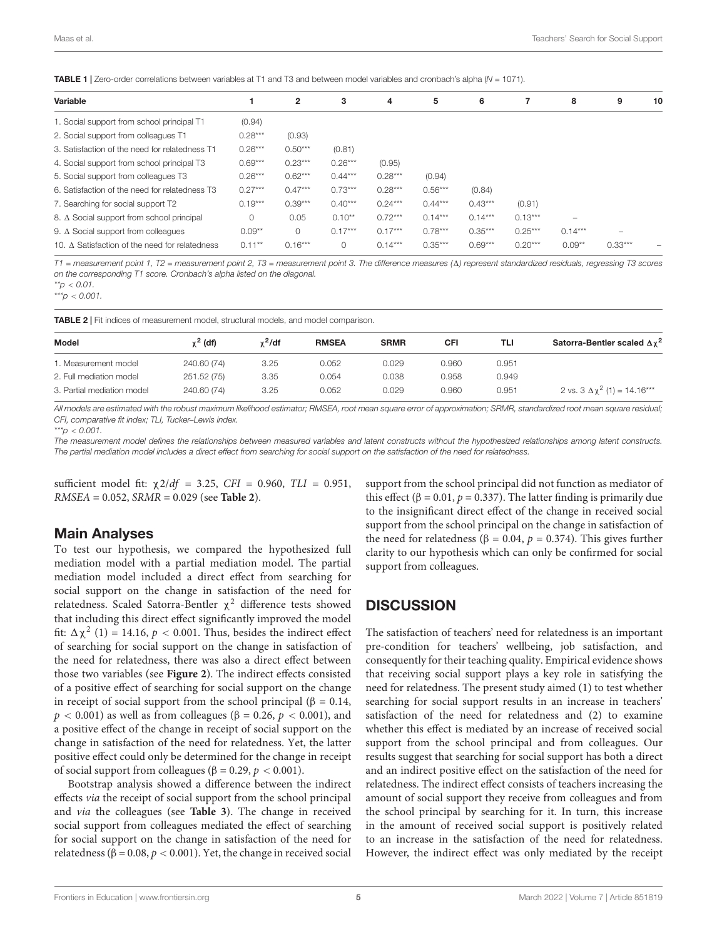<span id="page-4-0"></span>TABLE 1 | Zero-order correlations between variables at T1 and T3 and between model variables and cronbach's alpha (N = 1071).

| Variable                                       |           | $\overline{2}$ | 3         | 4         | 5         | 6         |           | 8                        | 9         | 10 |
|------------------------------------------------|-----------|----------------|-----------|-----------|-----------|-----------|-----------|--------------------------|-----------|----|
| 1. Social support from school principal T1     | (0.94)    |                |           |           |           |           |           |                          |           |    |
| 2. Social support from colleagues T1           | $0.28***$ | (0.93)         |           |           |           |           |           |                          |           |    |
| 3. Satisfaction of the need for relatedness T1 | $0.26***$ | $0.50***$      | (0.81)    |           |           |           |           |                          |           |    |
| 4. Social support from school principal T3     | $0.69***$ | $0.23***$      | $0.26***$ | (0.95)    |           |           |           |                          |           |    |
| 5. Social support from colleagues T3           | $0.26***$ | $0.62***$      | $0.44***$ | $0.28***$ | (0.94)    |           |           |                          |           |    |
| 6. Satisfaction of the need for relatedness T3 | $0.27***$ | $0.47***$      | $0.73***$ | $0.28***$ | $0.56***$ | (0.84)    |           |                          |           |    |
| 7. Searching for social support T2             | $0.19***$ | $0.39***$      | $0.40***$ | $0.24***$ | $0.44***$ | $0.43***$ | (0.91)    |                          |           |    |
| 8. A Social support from school principal      | $\circ$   | 0.05           | $0.10**$  | $0.72***$ | $0.14***$ | $0.14***$ | $0.13***$ | $\overline{\phantom{0}}$ |           |    |
| 9. $\Delta$ Social support from colleagues     | $0.09***$ | $\Omega$       | $0.17***$ | $0.17***$ | $0.78***$ | $0.35***$ | $0.25***$ | $0.14***$                | -         |    |
| 10. A Satisfaction of the need for relatedness | $0.11***$ | $0.16***$      | 0         | $0.14***$ | $0.35***$ | $0.69***$ | $0.20***$ | $0.09**$                 | $0.33***$ | -  |

 $T1$  = measurement point 1, T2 = measurement point 2, T3 = measurement point 3. The difference measures ( $\Delta$ ) represent standardized residuals, regressing T3 scores on the corresponding T1 score. Cronbach's alpha listed on the diagonal.

 $*^{*}p$  < 0.01.

 $***p < 0.001$ .

<span id="page-4-1"></span>TABLE 2 | Fit indices of measurement model, structural models, and model comparison.

| Model                      | $\chi^2$ (df) | $\chi^2$ /df | <b>RMSEA</b> | <b>SRMR</b> | CFI   | TLI   | Satorra-Bentler scaled $\Delta \chi^2$ |
|----------------------------|---------------|--------------|--------------|-------------|-------|-------|----------------------------------------|
| 1. Measurement model       | 240.60 (74)   | 3.25         | 0.052        | 0.029       | 0.960 | 0.951 |                                        |
| 2. Full mediation model    | 251.52 (75)   | 3.35         | 0.054        | 0.038       | 0.958 | 0.949 |                                        |
| 3. Partial mediation model | 240.60 (74)   | 3.25         | 0.052        | 0.029       | 0.960 | 0.951 | 2 vs. $3 \Delta \chi^2$ (1) = 14.16*** |

All models are estimated with the robust maximum likelihood estimator; RMSEA, root mean square error of approximation; SRMR, standardized root mean square residual; CFI, comparative fit index; TLI, Tucker–Lewis index.

\*\*\*p  $< 0.001$ .

The measurement model defines the relationships between measured variables and latent constructs without the hypothesized relationships among latent constructs. The partial mediation model includes a direct effect from searching for social support on the satisfaction of the need for relatedness.

sufficient model fit:  $\chi$ 2/df = 3.25, CFI = 0.960, TLI = 0.951, RMSEA = 0.052, SRMR = 0.029 (see **[Table 2](#page-4-1)**).

#### Main Analyses

To test our hypothesis, we compared the hypothesized full mediation model with a partial mediation model. The partial mediation model included a direct effect from searching for social support on the change in satisfaction of the need for relatedness. Scaled Satorra-Bentler  $\chi^2$  difference tests showed that including this direct effect significantly improved the model fit:  $\Delta \chi^2$  (1) = 14.16,  $p < 0.001$ . Thus, besides the indirect effect of searching for social support on the change in satisfaction of the need for relatedness, there was also a direct effect between those two variables (see **[Figure 2](#page-5-0)**). The indirect effects consisted of a positive effect of searching for social support on the change in receipt of social support from the school principal ( $\beta = 0.14$ ,  $p < 0.001$ ) as well as from colleagues ( $\beta = 0.26$ ,  $p < 0.001$ ), and a positive effect of the change in receipt of social support on the change in satisfaction of the need for relatedness. Yet, the latter positive effect could only be determined for the change in receipt of social support from colleagues ( $β = 0.29, p < 0.001$ ).

Bootstrap analysis showed a difference between the indirect effects via the receipt of social support from the school principal and via the colleagues (see **[Table 3](#page-5-1)**). The change in received social support from colleagues mediated the effect of searching for social support on the change in satisfaction of the need for relatedness (β = 0.08,  $p$  < 0.001). Yet, the change in received social

support from the school principal did not function as mediator of this effect (β = 0.01,  $p = 0.337$ ). The latter finding is primarily due to the insignificant direct effect of the change in received social support from the school principal on the change in satisfaction of the need for relatedness (β = 0.04,  $p$  = 0.374). This gives further clarity to our hypothesis which can only be confirmed for social support from colleagues.

#### **DISCUSSION**

The satisfaction of teachers' need for relatedness is an important pre-condition for teachers' wellbeing, job satisfaction, and consequently for their teaching quality. Empirical evidence shows that receiving social support plays a key role in satisfying the need for relatedness. The present study aimed (1) to test whether searching for social support results in an increase in teachers' satisfaction of the need for relatedness and (2) to examine whether this effect is mediated by an increase of received social support from the school principal and from colleagues. Our results suggest that searching for social support has both a direct and an indirect positive effect on the satisfaction of the need for relatedness. The indirect effect consists of teachers increasing the amount of social support they receive from colleagues and from the school principal by searching for it. In turn, this increase in the amount of received social support is positively related to an increase in the satisfaction of the need for relatedness. However, the indirect effect was only mediated by the receipt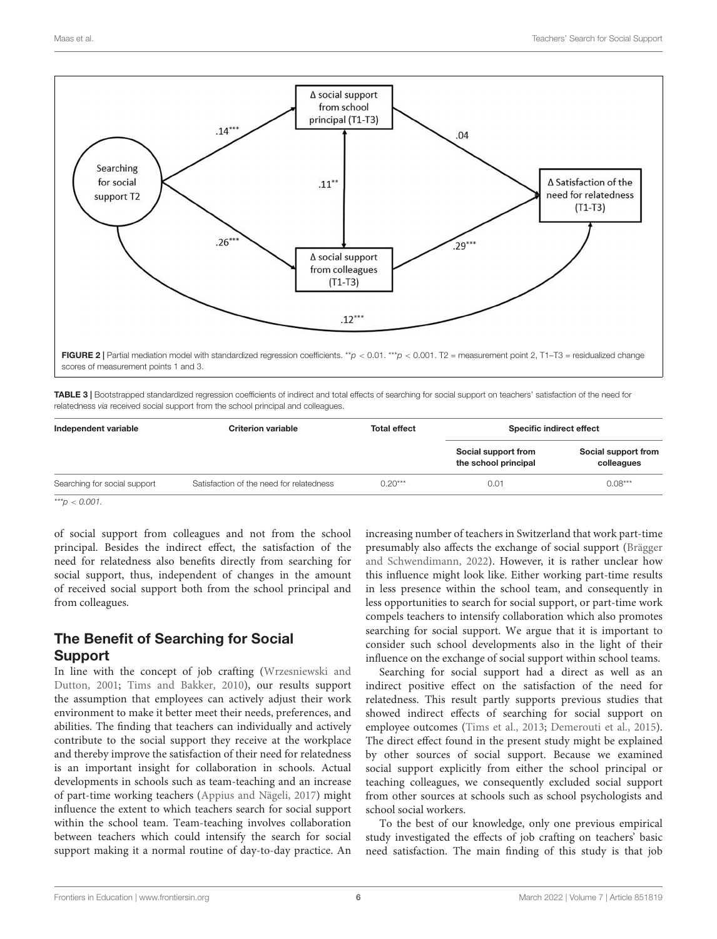

<span id="page-5-1"></span><span id="page-5-0"></span>TABLE 3 | Bootstrapped standardized regression coefficients of indirect and total effects of searching for social support on teachers' satisfaction of the need for relatedness via received social support from the school principal and colleagues.

| Independent variable         | <b>Criterion variable</b>                | <b>Total effect</b> | Specific indirect effect                    |                                   |  |
|------------------------------|------------------------------------------|---------------------|---------------------------------------------|-----------------------------------|--|
|                              |                                          |                     | Social support from<br>the school principal | Social support from<br>colleagues |  |
| Searching for social support | Satisfaction of the need for relatedness | $0.20***$<br>0.01   |                                             | $0.08***$                         |  |

\*\*\*p  $< 0.001$ .

of social support from colleagues and not from the school principal. Besides the indirect effect, the satisfaction of the need for relatedness also benefits directly from searching for social support, thus, independent of changes in the amount of received social support both from the school principal and from colleagues.

# The Benefit of Searching for Social Support

In line with the concept of job crafting [\(Wrzesniewski and](#page-8-8) [Dutton,](#page-8-8) [2001;](#page-8-8) [Tims and Bakker,](#page-8-9) [2010\)](#page-8-9), our results support the assumption that employees can actively adjust their work environment to make it better meet their needs, preferences, and abilities. The finding that teachers can individually and actively contribute to the social support they receive at the workplace and thereby improve the satisfaction of their need for relatedness is an important insight for collaboration in schools. Actual developments in schools such as team-teaching and an increase of part-time working teachers [\(Appius and Nägeli,](#page-7-11) [2017\)](#page-7-11) might influence the extent to which teachers search for social support within the school team. Team-teaching involves collaboration between teachers which could intensify the search for social support making it a normal routine of day-to-day practice. An

increasing number of teachers in Switzerland that work part-time presumably also affects the exchange of social support [\(Brägger](#page-7-12) [and Schwendimann,](#page-7-12) [2022\)](#page-7-12). However, it is rather unclear how this influence might look like. Either working part-time results in less presence within the school team, and consequently in less opportunities to search for social support, or part-time work compels teachers to intensify collaboration which also promotes searching for social support. We argue that it is important to consider such school developments also in the light of their influence on the exchange of social support within school teams.

Searching for social support had a direct as well as an indirect positive effect on the satisfaction of the need for relatedness. This result partly supports previous studies that showed indirect effects of searching for social support on employee outcomes [\(Tims et al.,](#page-8-11) [2013;](#page-8-11) [Demerouti et al.,](#page-7-3) [2015\)](#page-7-3). The direct effect found in the present study might be explained by other sources of social support. Because we examined social support explicitly from either the school principal or teaching colleagues, we consequently excluded social support from other sources at schools such as school psychologists and school social workers.

To the best of our knowledge, only one previous empirical study investigated the effects of job crafting on teachers' basic need satisfaction. The main finding of this study is that job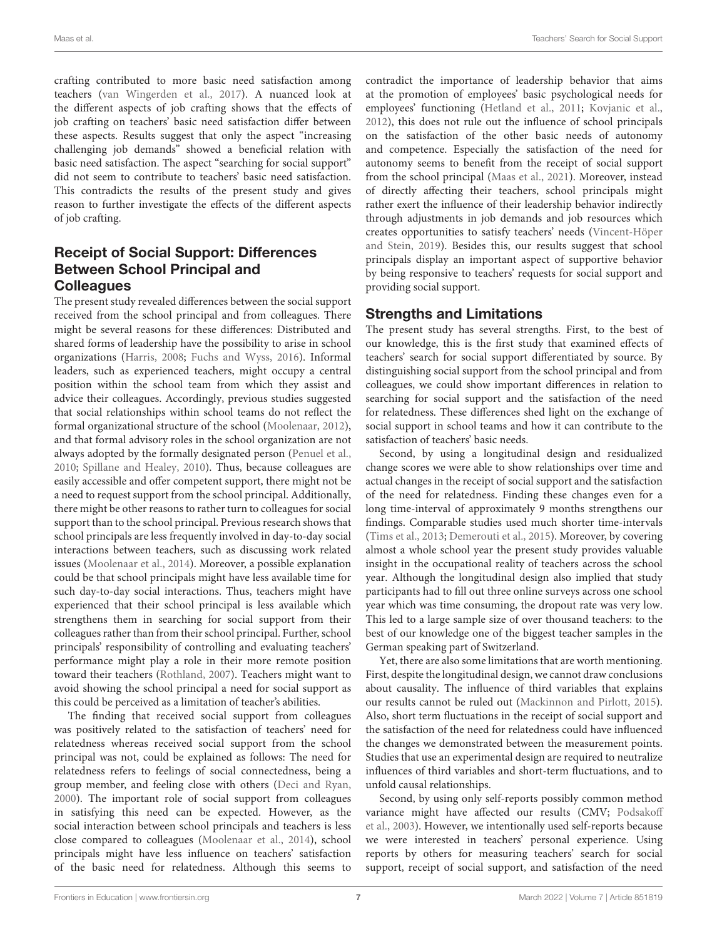crafting contributed to more basic need satisfaction among teachers [\(van Wingerden et al.,](#page-8-25) [2017\)](#page-8-25). A nuanced look at the different aspects of job crafting shows that the effects of job crafting on teachers' basic need satisfaction differ between these aspects. Results suggest that only the aspect "increasing challenging job demands" showed a beneficial relation with basic need satisfaction. The aspect "searching for social support" did not seem to contribute to teachers' basic need satisfaction. This contradicts the results of the present study and gives reason to further investigate the effects of the different aspects of job crafting.

# Receipt of Social Support: Differences Between School Principal and **Colleagues**

The present study revealed differences between the social support received from the school principal and from colleagues. There might be several reasons for these differences: Distributed and shared forms of leadership have the possibility to arise in school organizations [\(Harris,](#page-8-26) [2008;](#page-8-26) [Fuchs and Wyss,](#page-7-13) [2016\)](#page-7-13). Informal leaders, such as experienced teachers, might occupy a central position within the school team from which they assist and advice their colleagues. Accordingly, previous studies suggested that social relationships within school teams do not reflect the formal organizational structure of the school [\(Moolenaar,](#page-8-4) [2012\)](#page-8-4), and that formal advisory roles in the school organization are not always adopted by the formally designated person [\(Penuel et al.,](#page-8-27) [2010;](#page-8-27) [Spillane and Healey,](#page-8-28) [2010\)](#page-8-28). Thus, because colleagues are easily accessible and offer competent support, there might not be a need to request support from the school principal. Additionally, there might be other reasons to rather turn to colleagues for social support than to the school principal. Previous research shows that school principals are less frequently involved in day-to-day social interactions between teachers, such as discussing work related issues [\(Moolenaar et al.,](#page-8-29) [2014\)](#page-8-29). Moreover, a possible explanation could be that school principals might have less available time for such day-to-day social interactions. Thus, teachers might have experienced that their school principal is less available which strengthens them in searching for social support from their colleagues rather than from their school principal. Further, school principals' responsibility of controlling and evaluating teachers' performance might play a role in their more remote position toward their teachers [\(Rothland,](#page-8-2) [2007\)](#page-8-2). Teachers might want to avoid showing the school principal a need for social support as this could be perceived as a limitation of teacher's abilities.

The finding that received social support from colleagues was positively related to the satisfaction of teachers' need for relatedness whereas received social support from the school principal was not, could be explained as follows: The need for relatedness refers to feelings of social connectedness, being a group member, and feeling close with others [\(Deci and Ryan,](#page-7-1) [2000\)](#page-7-1). The important role of social support from colleagues in satisfying this need can be expected. However, as the social interaction between school principals and teachers is less close compared to colleagues [\(Moolenaar et al.,](#page-8-29) [2014\)](#page-8-29), school principals might have less influence on teachers' satisfaction of the basic need for relatedness. Although this seems to

contradict the importance of leadership behavior that aims at the promotion of employees' basic psychological needs for employees' functioning [\(Hetland et al.,](#page-8-30) [2011;](#page-8-30) [Kovjanic et al.,](#page-8-31) [2012\)](#page-8-31), this does not rule out the influence of school principals on the satisfaction of the other basic needs of autonomy and competence. Especially the satisfaction of the need for autonomy seems to benefit from the receipt of social support from the school principal [\(Maas et al.,](#page-8-32) [2021\)](#page-8-32). Moreover, instead of directly affecting their teachers, school principals might rather exert the influence of their leadership behavior indirectly through adjustments in job demands and job resources which creates opportunities to satisfy teachers' needs [\(Vincent-Höper](#page-8-33) [and Stein,](#page-8-33) [2019\)](#page-8-33). Besides this, our results suggest that school principals display an important aspect of supportive behavior by being responsive to teachers' requests for social support and providing social support.

# Strengths and Limitations

The present study has several strengths. First, to the best of our knowledge, this is the first study that examined effects of teachers' search for social support differentiated by source. By distinguishing social support from the school principal and from colleagues, we could show important differences in relation to searching for social support and the satisfaction of the need for relatedness. These differences shed light on the exchange of social support in school teams and how it can contribute to the satisfaction of teachers' basic needs.

Second, by using a longitudinal design and residualized change scores we were able to show relationships over time and actual changes in the receipt of social support and the satisfaction of the need for relatedness. Finding these changes even for a long time-interval of approximately 9 months strengthens our findings. Comparable studies used much shorter time-intervals [\(Tims et al.,](#page-8-11) [2013;](#page-8-11) [Demerouti et al.,](#page-7-3) [2015\)](#page-7-3). Moreover, by covering almost a whole school year the present study provides valuable insight in the occupational reality of teachers across the school year. Although the longitudinal design also implied that study participants had to fill out three online surveys across one school year which was time consuming, the dropout rate was very low. This led to a large sample size of over thousand teachers: to the best of our knowledge one of the biggest teacher samples in the German speaking part of Switzerland.

Yet, there are also some limitations that are worth mentioning. First, despite the longitudinal design, we cannot draw conclusions about causality. The influence of third variables that explains our results cannot be ruled out [\(Mackinnon and Pirlott,](#page-8-34) [2015\)](#page-8-34). Also, short term fluctuations in the receipt of social support and the satisfaction of the need for relatedness could have influenced the changes we demonstrated between the measurement points. Studies that use an experimental design are required to neutralize influences of third variables and short-term fluctuations, and to unfold causal relationships.

Second, by using only self-reports possibly common method variance might have affected our results (CMV; [Podsakoff](#page-8-35) [et al.,](#page-8-35) [2003\)](#page-8-35). However, we intentionally used self-reports because we were interested in teachers' personal experience. Using reports by others for measuring teachers' search for social support, receipt of social support, and satisfaction of the need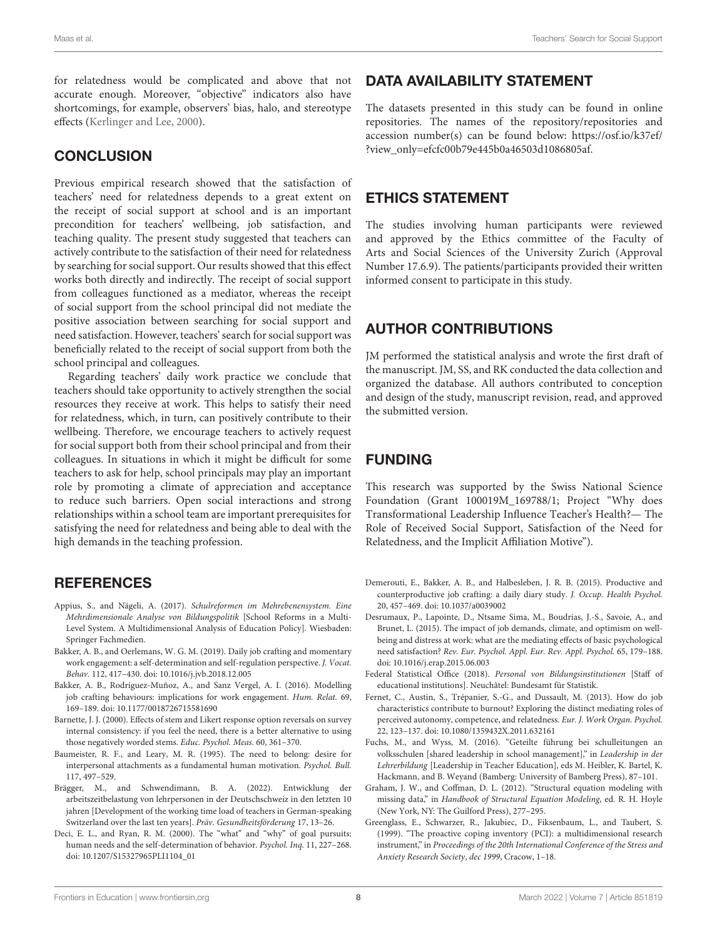for relatedness would be complicated and above that not accurate enough. Moreover, "objective" indicators also have shortcomings, for example, observers' bias, halo, and stereotype effects [\(Kerlinger and Lee,](#page-8-36) [2000\)](#page-8-36).

#### **CONCLUSION**

Previous empirical research showed that the satisfaction of teachers' need for relatedness depends to a great extent on the receipt of social support at school and is an important precondition for teachers' wellbeing, job satisfaction, and teaching quality. The present study suggested that teachers can actively contribute to the satisfaction of their need for relatedness by searching for social support. Our results showed that this effect works both directly and indirectly. The receipt of social support from colleagues functioned as a mediator, whereas the receipt of social support from the school principal did not mediate the positive association between searching for social support and need satisfaction. However, teachers' search for social support was beneficially related to the receipt of social support from both the school principal and colleagues.

Regarding teachers' daily work practice we conclude that teachers should take opportunity to actively strengthen the social resources they receive at work. This helps to satisfy their need for relatedness, which, in turn, can positively contribute to their wellbeing. Therefore, we encourage teachers to actively request for social support both from their school principal and from their colleagues. In situations in which it might be difficult for some teachers to ask for help, school principals may play an important role by promoting a climate of appreciation and acceptance to reduce such barriers. Open social interactions and strong relationships within a school team are important prerequisites for satisfying the need for relatedness and being able to deal with the high demands in the teaching profession.

# **REFERENCES**

- <span id="page-7-11"></span>Appius, S., and Nägeli, A. (2017). Schulreformen im Mehrebenensystem. Eine Mehrdimensionale Analyse von Bildungspolitik [School Reforms in a Multi-Level System. A Multidimensional Analysis of Education Policy]. Wiesbaden: Springer Fachmedien.
- <span id="page-7-5"></span>Bakker, A. B., and Oerlemans, W. G. M. (2019). Daily job crafting and momentary work engagement: a self-determination and self-regulation perspective. J. Vocat. Behav. 112, 417–430. [doi: 10.1016/j.jvb.2018.12.005](https://doi.org/10.1016/j.jvb.2018.12.005)
- <span id="page-7-6"></span>Bakker, A. B., Rodríguez-Muñoz, A., and Sanz Vergel, A. I. (2016). Modelling job crafting behaviours: implications for work engagement. Hum. Relat. 69, 169–189. [doi: 10.1177/0018726715581690](https://doi.org/10.1177/0018726715581690)
- <span id="page-7-9"></span>Barnette, J. J. (2000). Effects of stem and Likert response option reversals on survey internal consistency: if you feel the need, there is a better alternative to using those negatively worded stems. Educ. Psychol. Meas. 60, 361–370.
- <span id="page-7-4"></span>Baumeister, R. F., and Leary, M. R. (1995). The need to belong: desire for interpersonal attachments as a fundamental human motivation. Psychol. Bull. 117, 497–529.
- <span id="page-7-12"></span>Brägger, M., and Schwendimann, B. A. (2022). Entwicklung der arbeitszeitbelastung von lehrpersonen in der Deutschschweiz in den letzten 10 jahren [Development of the working time load of teachers in German-speaking Switzerland over the last ten years]. Präv. Gesundheitsförderung 17, 13–26.
- <span id="page-7-1"></span>Deci, E. L., and Ryan, R. M. (2000). The "what" and "why" of goal pursuits: human needs and the self-determination of behavior. Psychol. Inq. 11, 227–268. [doi: 10.1207/S15327965PLI1104\\_01](https://doi.org/10.1207/S15327965PLI1104_01)

#### DATA AVAILABILITY STATEMENT

The datasets presented in this study can be found in online repositories. The names of the repository/repositories and accession number(s) can be found below: [https://osf.io/k37ef/](https://osf.io/k37ef/?view_only=efcfc00b79e445b0a46503d1086805af) [?view\\_only=efcfc00b79e445b0a46503d1086805af.](https://osf.io/k37ef/?view_only=efcfc00b79e445b0a46503d1086805af)

#### ETHICS STATEMENT

The studies involving human participants were reviewed and approved by the Ethics committee of the Faculty of Arts and Social Sciences of the University Zurich (Approval Number 17.6.9). The patients/participants provided their written informed consent to participate in this study.

# AUTHOR CONTRIBUTIONS

JM performed the statistical analysis and wrote the first draft of the manuscript. JM, SS, and RK conducted the data collection and organized the database. All authors contributed to conception and design of the study, manuscript revision, read, and approved the submitted version.

# FUNDING

This research was supported by the Swiss National Science Foundation (Grant 100019M\_169788/1; Project "Why does Transformational Leadership Influence Teacher's Health?— The Role of Received Social Support, Satisfaction of the Need for Relatedness, and the Implicit Affiliation Motive").

- <span id="page-7-3"></span>Demerouti, E., Bakker, A. B., and Halbesleben, J. R. B. (2015). Productive and counterproductive job crafting: a daily diary study. J. Occup. Health Psychol. 20, 457–469. [doi: 10.1037/a0039002](https://doi.org/10.1037/a0039002)
- <span id="page-7-0"></span>Desrumaux, P., Lapointe, D., Ntsame Sima, M., Boudrias, J.-S., Savoie, A., and Brunet, L. (2015). The impact of job demands, climate, and optimism on wellbeing and distress at work: what are the mediating effects of basic psychological need satisfaction? Rev. Eur. Psychol. Appl. Eur. Rev. Appl. Psychol. 65, 179–188. [doi: 10.1016/j.erap.2015.06.003](https://doi.org/10.1016/j.erap.2015.06.003)
- <span id="page-7-7"></span>Federal Statistical Office (2018). Personal von Bildungsinstitutionen [Staff of educational institutions]. Neuchâtel: Bundesamt für Statistik.
- <span id="page-7-2"></span>Fernet, C., Austin, S., Trépanier, S.-G., and Dussault, M. (2013). How do job characteristics contribute to burnout? Exploring the distinct mediating roles of perceived autonomy, competence, and relatedness. Eur. J. Work Organ. Psychol. 22, 123–137. [doi: 10.1080/1359432X.2011.632161](https://doi.org/10.1080/1359432X.2011.632161)
- <span id="page-7-13"></span>Fuchs, M., and Wyss, M. (2016). "Geteilte führung bei schulleitungen an volksschulen [shared leadership in school management]," in Leadership in der Lehrerbildung [Leadership in Teacher Education], eds M. Heibler, K. Bartel, K. Hackmann, and B. Weyand (Bamberg: University of Bamberg Press), 87–101.
- <span id="page-7-10"></span>Graham, J. W., and Coffman, D. L. (2012). "Structural equation modeling with missing data," in Handbook of Structural Equation Modeling, ed. R. H. Hoyle (New York, NY: The Guilford Press), 277–295.
- <span id="page-7-8"></span>Greenglass, E., Schwarzer, R., Jakubiec, D., Fiksenbaum, L., and Taubert, S. (1999). "The proactive coping inventory (PCI): a multidimensional research instrument," in Proceedings of the 20th International Conference of the Stress and Anxiety Research Society, dec 1999, Cracow, 1–18.